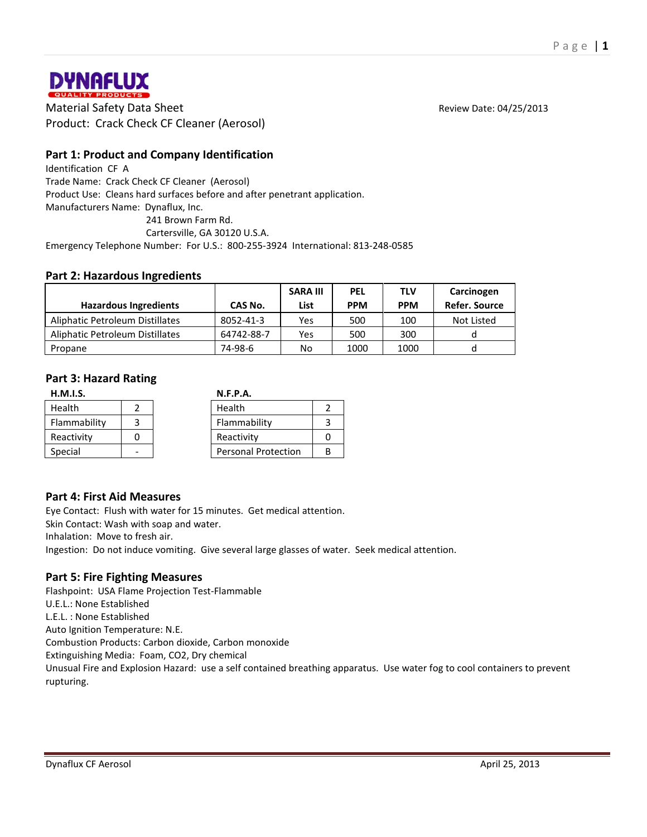

**DYNAFLUX**<br> **Material Safety Data Sheet** Review Date: 04/25/2013<br>
Material Safety Data Sheet Review Date: 04/25/2013 Product: Crack Check CF Cleaner (Aerosol)

# **Part 1: Product and Company Identification**

Identification CF A Trade Name: Crack Check CF Cleaner (Aerosol) Product Use: Cleans hard surfaces before and after penetrant application. Manufacturers Name: Dynaflux, Inc. 241 Brown Farm Rd.

Cartersville, GA 30120 U.S.A.

Emergency Telephone Number: For U.S.: 800-255-3924 International: 813-248-0585

### **Part 2: Hazardous Ingredients**

|                                 |            | <b>SARA III</b> | <b>PEL</b> | TLV        | Carcinogen    |
|---------------------------------|------------|-----------------|------------|------------|---------------|
| <b>Hazardous Ingredients</b>    | CAS No.    | List            | <b>PPM</b> | <b>PPM</b> | Refer. Source |
| Aliphatic Petroleum Distillates | 8052-41-3  | Yes             | 500        | 100        | Not Listed    |
| Aliphatic Petroleum Distillates | 64742-88-7 | Yes             | 500        | 300        |               |
| Propane                         | 74-98-6    | No              | 1000       | 1000       |               |

### **Part 3: Hazard Rating**

| H.M.I.S.     |  |  | <b>N.F.P.A.</b>            |  |  |
|--------------|--|--|----------------------------|--|--|
| Health       |  |  | Health                     |  |  |
| Flammability |  |  | Flammability               |  |  |
| Reactivity   |  |  | Reactivity                 |  |  |
| Special      |  |  | <b>Personal Protection</b> |  |  |

### **Part 4: First Aid Measures**

Eye Contact: Flush with water for 15 minutes. Get medical attention. Skin Contact: Wash with soap and water. Inhalation: Move to fresh air.

Ingestion: Do not induce vomiting. Give several large glasses of water. Seek medical attention.

### **Part 5: Fire Fighting Measures**

Flashpoint: USA Flame Projection Test-Flammable U.E.L.: None Established L.E.L. : None Established Auto Ignition Temperature: N.E. Combustion Products: Carbon dioxide, Carbon monoxide Extinguishing Media: Foam, CO2, Dry chemical Unusual Fire and Explosion Hazard: use a self contained breathing apparatus. Use water fog to cool containers to prevent rupturing.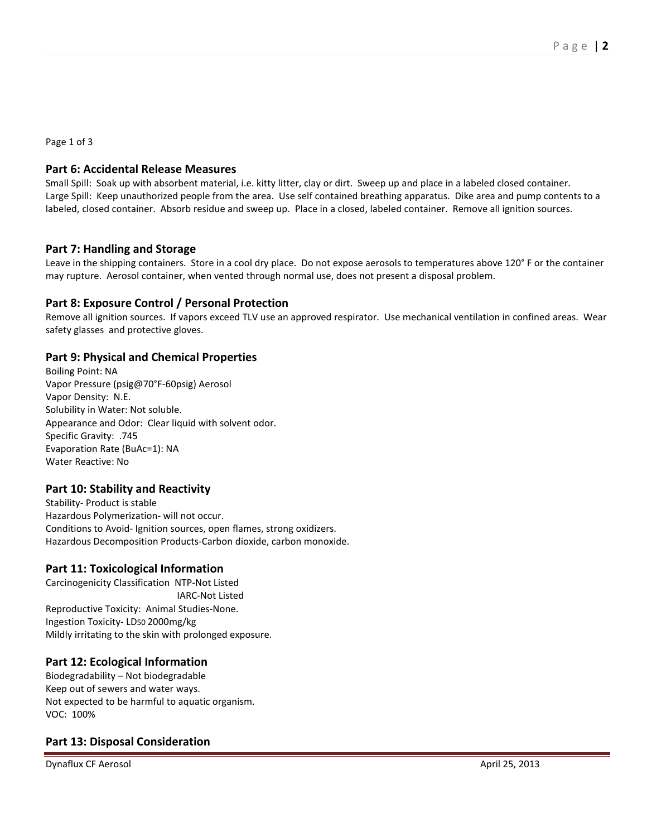Page 1 of 3

## **Part 6: Accidental Release Measures**

Small Spill: Soak up with absorbent material, i.e. kitty litter, clay or dirt. Sweep up and place in a labeled closed container. Large Spill: Keep unauthorized people from the area. Use self contained breathing apparatus. Dike area and pump contents to a labeled, closed container. Absorb residue and sweep up. Place in a closed, labeled container. Remove all ignition sources.

### **Part 7: Handling and Storage**

Leave in the shipping containers. Store in a cool dry place. Do not expose aerosols to temperatures above 120° F or the container may rupture. Aerosol container, when vented through normal use, does not present a disposal problem.

## **Part 8: Exposure Control / Personal Protection**

Remove all ignition sources. If vapors exceed TLV use an approved respirator. Use mechanical ventilation in confined areas. Wear safety glasses and protective gloves.

# **Part 9: Physical and Chemical Properties**

Boiling Point: NA Vapor Pressure (psig@70°F-60psig) Aerosol Vapor Density: N.E. Solubility in Water: Not soluble. Appearance and Odor: Clear liquid with solvent odor. Specific Gravity: .745 Evaporation Rate (BuAc=1): NA Water Reactive: No

### **Part 10: Stability and Reactivity**

Stability- Product is stable Hazardous Polymerization- will not occur. Conditions to Avoid- Ignition sources, open flames, strong oxidizers. Hazardous Decomposition Products-Carbon dioxide, carbon monoxide.

# **Part 11: Toxicological Information**

Carcinogenicity Classification NTP-Not Listed IARC-Not Listed Reproductive Toxicity: Animal Studies-None. Ingestion Toxicity- LD50 2000mg/kg Mildly irritating to the skin with prolonged exposure.

### **Part 12: Ecological Information**

Biodegradability – Not biodegradable Keep out of sewers and water ways. Not expected to be harmful to aquatic organism. VOC: 100%

# **Part 13: Disposal Consideration**

Dynaflux CF Aerosol April 25, 2013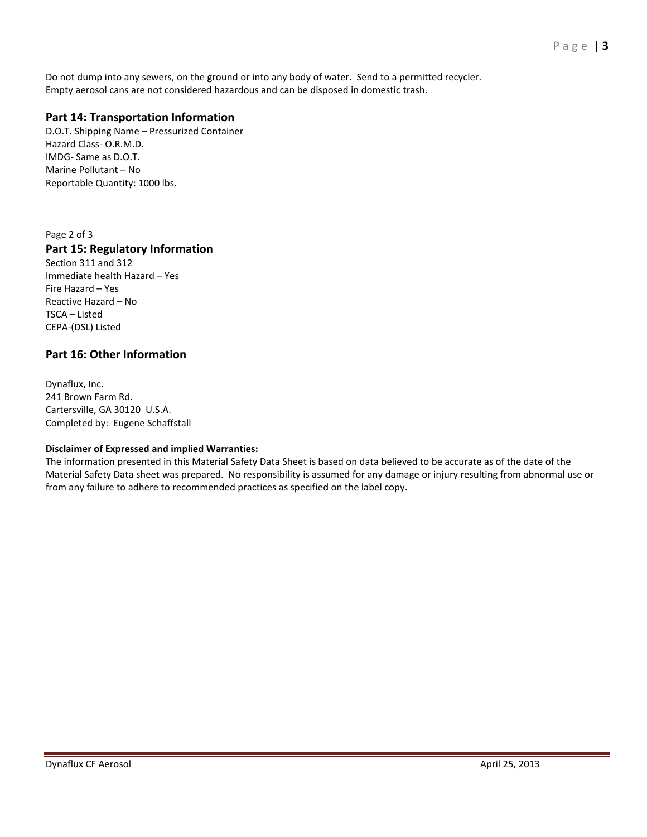Do not dump into any sewers, on the ground or into any body of water. Send to a permitted recycler. Empty aerosol cans are not considered hazardous and can be disposed in domestic trash.

# **Part 14: Transportation Information**

D.O.T. Shipping Name – Pressurized Container Hazard Class- O.R.M.D. IMDG- Same as D.O.T. Marine Pollutant – No Reportable Quantity: 1000 lbs.

Page 2 of 3

## **Part 15: Regulatory Information**

Section 311 and 312 Immediate health Hazard – Yes Fire Hazard – Yes Reactive Hazard – No TSCA – Listed CEPA-(DSL) Listed

## **Part 16: Other Information**

Dynaflux, Inc. 241 Brown Farm Rd. Cartersville, GA 30120 U.S.A. Completed by: Eugene Schaffstall

#### **Disclaimer of Expressed and implied Warranties:**

The information presented in this Material Safety Data Sheet is based on data believed to be accurate as of the date of the Material Safety Data sheet was prepared. No responsibility is assumed for any damage or injury resulting from abnormal use or from any failure to adhere to recommended practices as specified on the label copy.